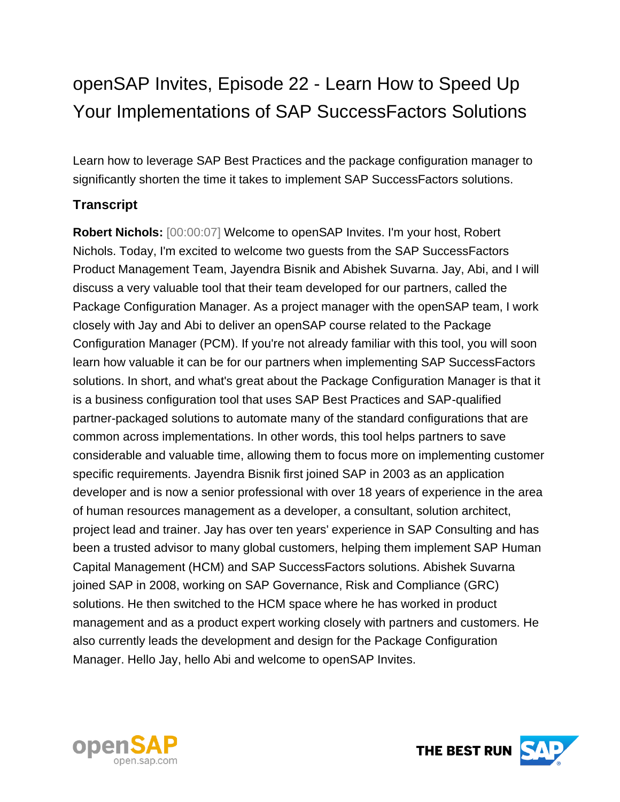## openSAP Invites, Episode 22 - Learn How to Speed Up Your Implementations of SAP SuccessFactors Solutions

Learn how to leverage SAP Best Practices and the package configuration manager to significantly shorten the time it takes to implement SAP SuccessFactors solutions.

## **Transcript**

**Robert Nichols:** [00:00:07] Welcome to openSAP Invites. I'm your host, Robert Nichols. Today, I'm excited to welcome two guests from the SAP SuccessFactors Product Management Team, Jayendra Bisnik and Abishek Suvarna. Jay, Abi, and I will discuss a very valuable tool that their team developed for our partners, called the Package Configuration Manager. As a project manager with the openSAP team, I work closely with Jay and Abi to deliver an openSAP course related to the Package Configuration Manager (PCM). If you're not already familiar with this tool, you will soon learn how valuable it can be for our partners when implementing SAP SuccessFactors solutions. In short, and what's great about the Package Configuration Manager is that it is a business configuration tool that uses SAP Best Practices and SAP-qualified partner-packaged solutions to automate many of the standard configurations that are common across implementations. In other words, this tool helps partners to save considerable and valuable time, allowing them to focus more on implementing customer specific requirements. Jayendra Bisnik first joined SAP in 2003 as an application developer and is now a senior professional with over 18 years of experience in the area of human resources management as a developer, a consultant, solution architect, project lead and trainer. Jay has over ten years' experience in SAP Consulting and has been a trusted advisor to many global customers, helping them implement SAP Human Capital Management (HCM) and SAP SuccessFactors solutions. Abishek Suvarna joined SAP in 2008, working on SAP Governance, Risk and Compliance (GRC) solutions. He then switched to the HCM space where he has worked in product management and as a product expert working closely with partners and customers. He also currently leads the development and design for the Package Configuration Manager. Hello Jay, hello Abi and welcome to openSAP Invites.



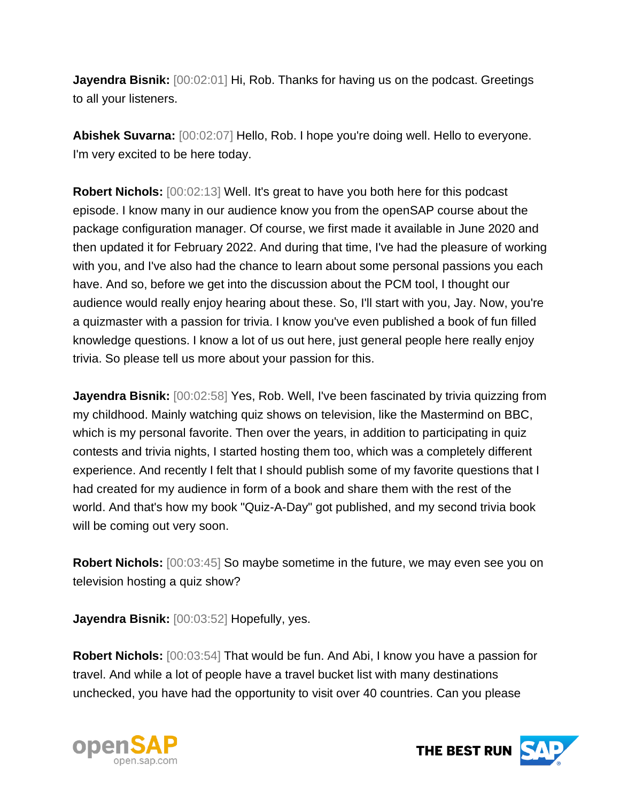**Jayendra Bisnik:** [00:02:01] Hi, Rob. Thanks for having us on the podcast. Greetings to all your listeners.

**Abishek Suvarna:** [00:02:07] Hello, Rob. I hope you're doing well. Hello to everyone. I'm very excited to be here today.

**Robert Nichols:** [00:02:13] Well. It's great to have you both here for this podcast episode. I know many in our audience know you from the openSAP course about the package configuration manager. Of course, we first made it available in June 2020 and then updated it for February 2022. And during that time, I've had the pleasure of working with you, and I've also had the chance to learn about some personal passions you each have. And so, before we get into the discussion about the PCM tool, I thought our audience would really enjoy hearing about these. So, I'll start with you, Jay. Now, you're a quizmaster with a passion for trivia. I know you've even published a book of fun filled knowledge questions. I know a lot of us out here, just general people here really enjoy trivia. So please tell us more about your passion for this.

**Jayendra Bisnik:** [00:02:58] Yes, Rob. Well, I've been fascinated by trivia quizzing from my childhood. Mainly watching quiz shows on television, like the Mastermind on BBC, which is my personal favorite. Then over the years, in addition to participating in quiz contests and trivia nights, I started hosting them too, which was a completely different experience. And recently I felt that I should publish some of my favorite questions that I had created for my audience in form of a book and share them with the rest of the world. And that's how my book "Quiz-A-Day" got published, and my second trivia book will be coming out very soon.

**Robert Nichols:** [00:03:45] So maybe sometime in the future, we may even see you on television hosting a quiz show?

**Jayendra Bisnik:** [00:03:52] Hopefully, yes.

**Robert Nichols:** [00:03:54] That would be fun. And Abi, I know you have a passion for travel. And while a lot of people have a travel bucket list with many destinations unchecked, you have had the opportunity to visit over 40 countries. Can you please



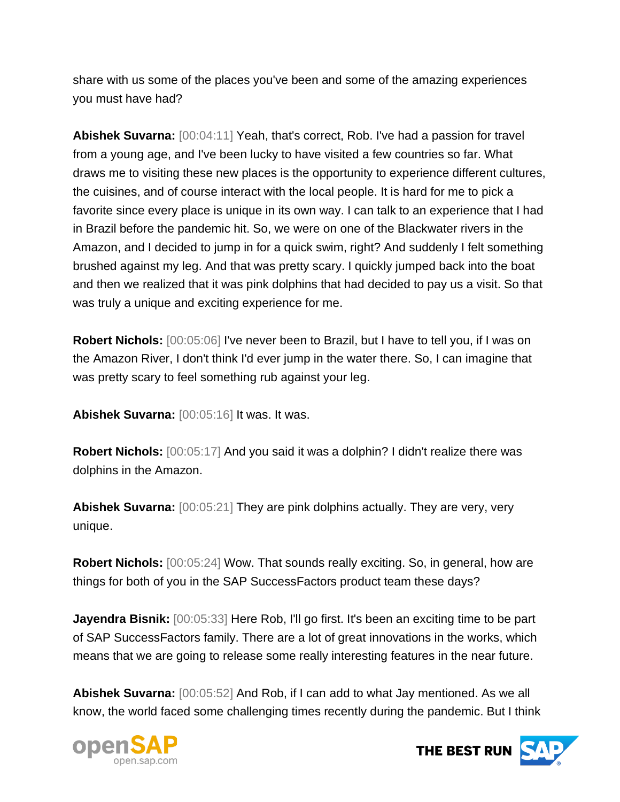share with us some of the places you've been and some of the amazing experiences you must have had?

**Abishek Suvarna:** [00:04:11] Yeah, that's correct, Rob. I've had a passion for travel from a young age, and I've been lucky to have visited a few countries so far. What draws me to visiting these new places is the opportunity to experience different cultures, the cuisines, and of course interact with the local people. It is hard for me to pick a favorite since every place is unique in its own way. I can talk to an experience that I had in Brazil before the pandemic hit. So, we were on one of the Blackwater rivers in the Amazon, and I decided to jump in for a quick swim, right? And suddenly I felt something brushed against my leg. And that was pretty scary. I quickly jumped back into the boat and then we realized that it was pink dolphins that had decided to pay us a visit. So that was truly a unique and exciting experience for me.

**Robert Nichols:** [00:05:06] I've never been to Brazil, but I have to tell you, if I was on the Amazon River, I don't think I'd ever jump in the water there. So, I can imagine that was pretty scary to feel something rub against your leg.

**Abishek Suvarna:** [00:05:16] It was. It was.

**Robert Nichols:** [00:05:17] And you said it was a dolphin? I didn't realize there was dolphins in the Amazon.

**Abishek Suvarna:** [00:05:21] They are pink dolphins actually. They are very, very unique.

**Robert Nichols:** [00:05:24] Wow. That sounds really exciting. So, in general, how are things for both of you in the SAP SuccessFactors product team these days?

**Jayendra Bisnik:** [00:05:33] Here Rob, I'll go first. It's been an exciting time to be part of SAP SuccessFactors family. There are a lot of great innovations in the works, which means that we are going to release some really interesting features in the near future.

**Abishek Suvarna:** [00:05:52] And Rob, if I can add to what Jay mentioned. As we all know, the world faced some challenging times recently during the pandemic. But I think



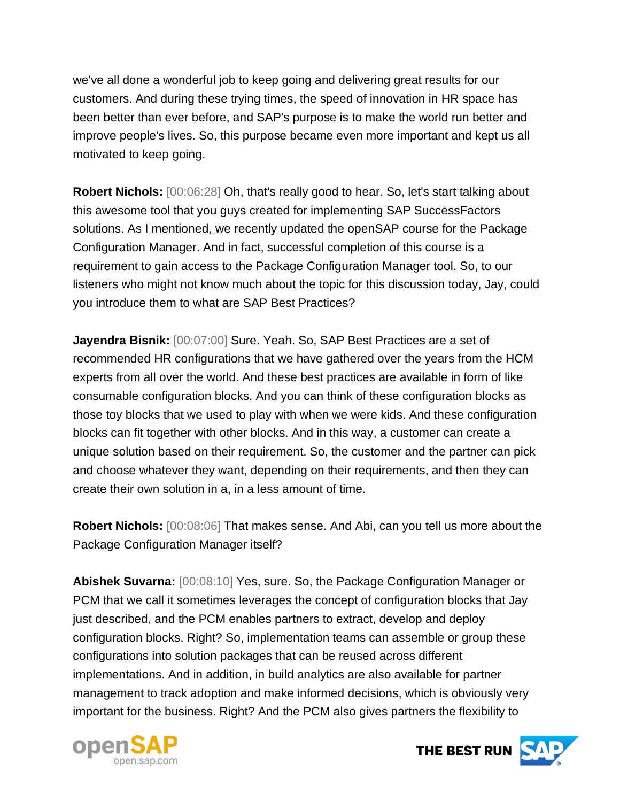we've all done a wonderful job to keep going and delivering great results for our customers. And during these trying times, the speed of innovation in HR space has been better than ever before, and SAP's purpose is to make the world run better and improve people's lives. So, this purpose became even more important and kept us all motivated to keep going.

**Robert Nichols:** [00:06:28] Oh, that's really good to hear. So, let's start talking about this awesome tool that you guys created for implementing SAP SuccessFactors solutions. As I mentioned, we recently updated the openSAP course for the Package Configuration Manager. And in fact, successful completion of this course is a requirement to gain access to the Package Configuration Manager tool. So, to our listeners who might not know much about the topic for this discussion today, Jay, could you introduce them to what are SAP Best Practices?

**Jayendra Bisnik:** [00:07:00] Sure. Yeah. So, SAP Best Practices are a set of recommended HR configurations that we have gathered over the years from the HCM experts from all over the world. And these best practices are available in form of like consumable configuration blocks. And you can think of these configuration blocks as those toy blocks that we used to play with when we were kids. And these configuration blocks can fit together with other blocks. And in this way, a customer can create a unique solution based on their requirement. So, the customer and the partner can pick and choose whatever they want, depending on their requirements, and then they can create their own solution in a, in a less amount of time.

**Robert Nichols:** [00:08:06] That makes sense. And Abi, can you tell us more about the Package Configuration Manager itself?

**Abishek Suvarna:** [00:08:10] Yes, sure. So, the Package Configuration Manager or PCM that we call it sometimes leverages the concept of configuration blocks that Jay just described, and the PCM enables partners to extract, develop and deploy configuration blocks. Right? So, implementation teams can assemble or group these configurations into solution packages that can be reused across different implementations. And in addition, in build analytics are also available for partner management to track adoption and make informed decisions, which is obviously very important for the business. Right? And the PCM also gives partners the flexibility to



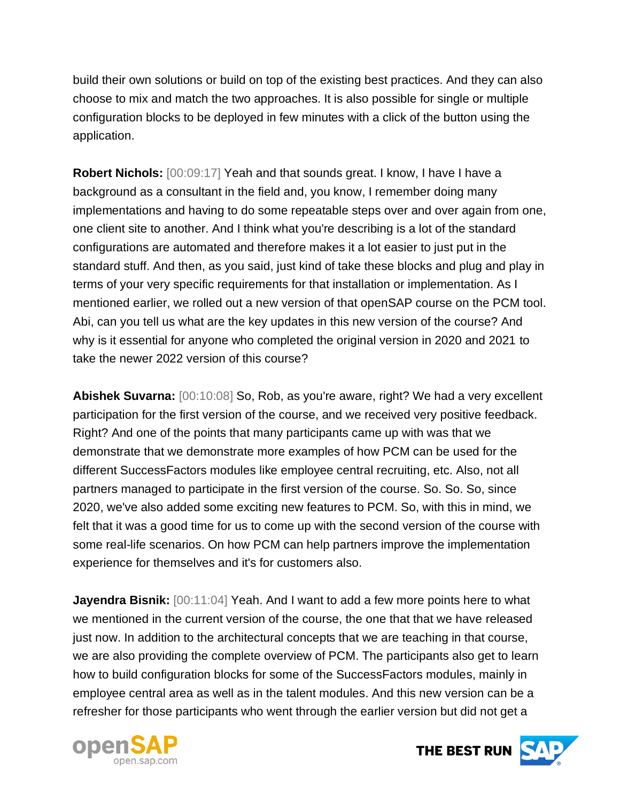build their own solutions or build on top of the existing best practices. And they can also choose to mix and match the two approaches. It is also possible for single or multiple configuration blocks to be deployed in few minutes with a click of the button using the application.

**Robert Nichols:** [00:09:17] Yeah and that sounds great. I know, I have I have a background as a consultant in the field and, you know, I remember doing many implementations and having to do some repeatable steps over and over again from one, one client site to another. And I think what you're describing is a lot of the standard configurations are automated and therefore makes it a lot easier to just put in the standard stuff. And then, as you said, just kind of take these blocks and plug and play in terms of your very specific requirements for that installation or implementation. As I mentioned earlier, we rolled out a new version of that openSAP course on the PCM tool. Abi, can you tell us what are the key updates in this new version of the course? And why is it essential for anyone who completed the original version in 2020 and 2021 to take the newer 2022 version of this course?

**Abishek Suvarna:** [00:10:08] So, Rob, as you're aware, right? We had a very excellent participation for the first version of the course, and we received very positive feedback. Right? And one of the points that many participants came up with was that we demonstrate that we demonstrate more examples of how PCM can be used for the different SuccessFactors modules like employee central recruiting, etc. Also, not all partners managed to participate in the first version of the course. So. So. So, since 2020, we've also added some exciting new features to PCM. So, with this in mind, we felt that it was a good time for us to come up with the second version of the course with some real-life scenarios. On how PCM can help partners improve the implementation experience for themselves and it's for customers also.

**Jayendra Bisnik:** [00:11:04] Yeah. And I want to add a few more points here to what we mentioned in the current version of the course, the one that that we have released just now. In addition to the architectural concepts that we are teaching in that course, we are also providing the complete overview of PCM. The participants also get to learn how to build configuration blocks for some of the SuccessFactors modules, mainly in employee central area as well as in the talent modules. And this new version can be a refresher for those participants who went through the earlier version but did not get a



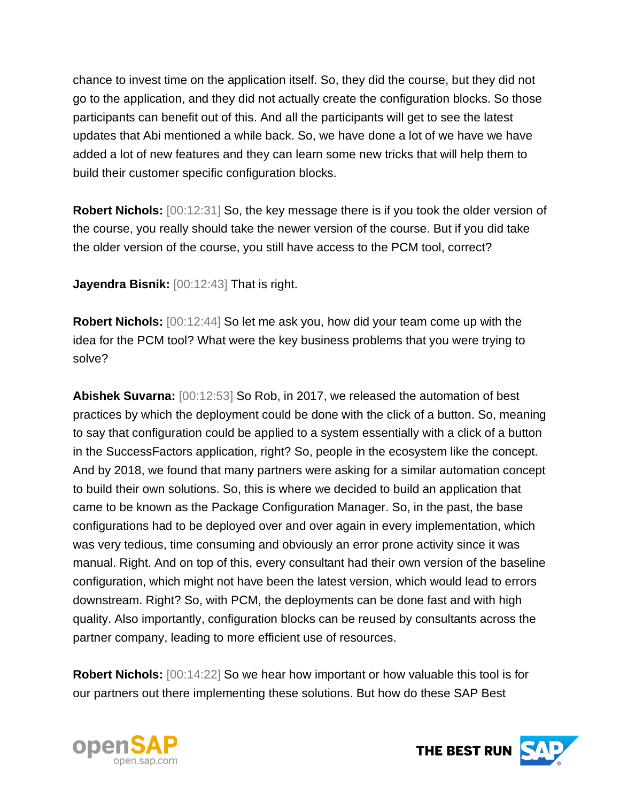chance to invest time on the application itself. So, they did the course, but they did not go to the application, and they did not actually create the configuration blocks. So those participants can benefit out of this. And all the participants will get to see the latest updates that Abi mentioned a while back. So, we have done a lot of we have we have added a lot of new features and they can learn some new tricks that will help them to build their customer specific configuration blocks.

**Robert Nichols:** [00:12:31] So, the key message there is if you took the older version of the course, you really should take the newer version of the course. But if you did take the older version of the course, you still have access to the PCM tool, correct?

**Jayendra Bisnik:** [00:12:43] That is right.

**Robert Nichols:** [00:12:44] So let me ask you, how did your team come up with the idea for the PCM tool? What were the key business problems that you were trying to solve?

**Abishek Suvarna:** [00:12:53] So Rob, in 2017, we released the automation of best practices by which the deployment could be done with the click of a button. So, meaning to say that configuration could be applied to a system essentially with a click of a button in the SuccessFactors application, right? So, people in the ecosystem like the concept. And by 2018, we found that many partners were asking for a similar automation concept to build their own solutions. So, this is where we decided to build an application that came to be known as the Package Configuration Manager. So, in the past, the base configurations had to be deployed over and over again in every implementation, which was very tedious, time consuming and obviously an error prone activity since it was manual. Right. And on top of this, every consultant had their own version of the baseline configuration, which might not have been the latest version, which would lead to errors downstream. Right? So, with PCM, the deployments can be done fast and with high quality. Also importantly, configuration blocks can be reused by consultants across the partner company, leading to more efficient use of resources.

**Robert Nichols:** [00:14:22] So we hear how important or how valuable this tool is for our partners out there implementing these solutions. But how do these SAP Best



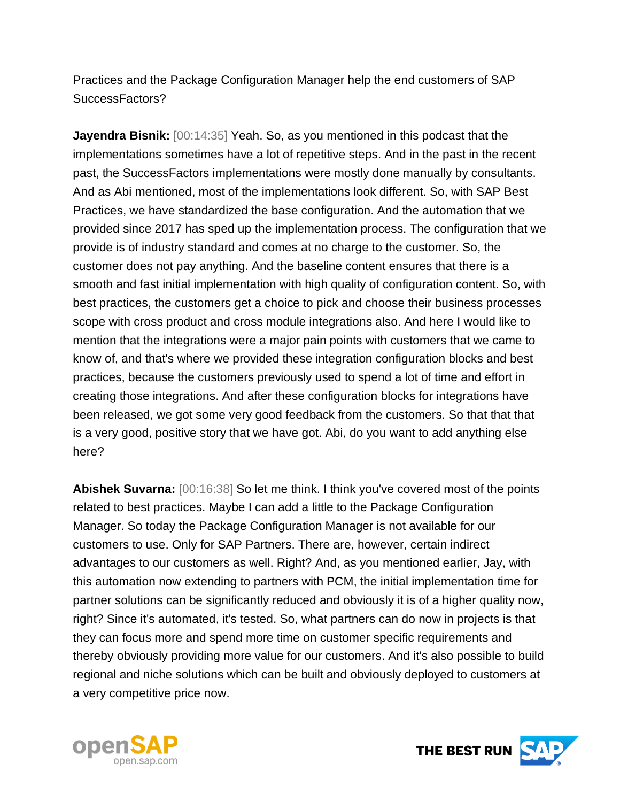Practices and the Package Configuration Manager help the end customers of SAP SuccessFactors?

**Jayendra Bisnik:** [00:14:35] Yeah. So, as you mentioned in this podcast that the implementations sometimes have a lot of repetitive steps. And in the past in the recent past, the SuccessFactors implementations were mostly done manually by consultants. And as Abi mentioned, most of the implementations look different. So, with SAP Best Practices, we have standardized the base configuration. And the automation that we provided since 2017 has sped up the implementation process. The configuration that we provide is of industry standard and comes at no charge to the customer. So, the customer does not pay anything. And the baseline content ensures that there is a smooth and fast initial implementation with high quality of configuration content. So, with best practices, the customers get a choice to pick and choose their business processes scope with cross product and cross module integrations also. And here I would like to mention that the integrations were a major pain points with customers that we came to know of, and that's where we provided these integration configuration blocks and best practices, because the customers previously used to spend a lot of time and effort in creating those integrations. And after these configuration blocks for integrations have been released, we got some very good feedback from the customers. So that that that is a very good, positive story that we have got. Abi, do you want to add anything else here?

**Abishek Suvarna:** [00:16:38] So let me think. I think you've covered most of the points related to best practices. Maybe I can add a little to the Package Configuration Manager. So today the Package Configuration Manager is not available for our customers to use. Only for SAP Partners. There are, however, certain indirect advantages to our customers as well. Right? And, as you mentioned earlier, Jay, with this automation now extending to partners with PCM, the initial implementation time for partner solutions can be significantly reduced and obviously it is of a higher quality now, right? Since it's automated, it's tested. So, what partners can do now in projects is that they can focus more and spend more time on customer specific requirements and thereby obviously providing more value for our customers. And it's also possible to build regional and niche solutions which can be built and obviously deployed to customers at a very competitive price now.



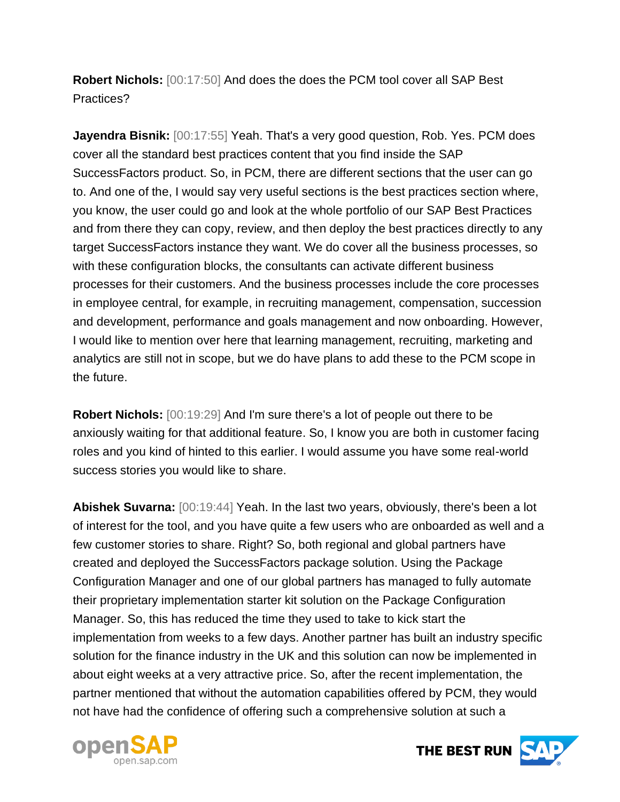**Robert Nichols:** [00:17:50] And does the does the PCM tool cover all SAP Best Practices?

**Jayendra Bisnik:** [00:17:55] Yeah. That's a very good question, Rob. Yes. PCM does cover all the standard best practices content that you find inside the SAP SuccessFactors product. So, in PCM, there are different sections that the user can go to. And one of the, I would say very useful sections is the best practices section where, you know, the user could go and look at the whole portfolio of our SAP Best Practices and from there they can copy, review, and then deploy the best practices directly to any target SuccessFactors instance they want. We do cover all the business processes, so with these configuration blocks, the consultants can activate different business processes for their customers. And the business processes include the core processes in employee central, for example, in recruiting management, compensation, succession and development, performance and goals management and now onboarding. However, I would like to mention over here that learning management, recruiting, marketing and analytics are still not in scope, but we do have plans to add these to the PCM scope in the future.

**Robert Nichols:** [00:19:29] And I'm sure there's a lot of people out there to be anxiously waiting for that additional feature. So, I know you are both in customer facing roles and you kind of hinted to this earlier. I would assume you have some real-world success stories you would like to share.

**Abishek Suvarna:** [00:19:44] Yeah. In the last two years, obviously, there's been a lot of interest for the tool, and you have quite a few users who are onboarded as well and a few customer stories to share. Right? So, both regional and global partners have created and deployed the SuccessFactors package solution. Using the Package Configuration Manager and one of our global partners has managed to fully automate their proprietary implementation starter kit solution on the Package Configuration Manager. So, this has reduced the time they used to take to kick start the implementation from weeks to a few days. Another partner has built an industry specific solution for the finance industry in the UK and this solution can now be implemented in about eight weeks at a very attractive price. So, after the recent implementation, the partner mentioned that without the automation capabilities offered by PCM, they would not have had the confidence of offering such a comprehensive solution at such a



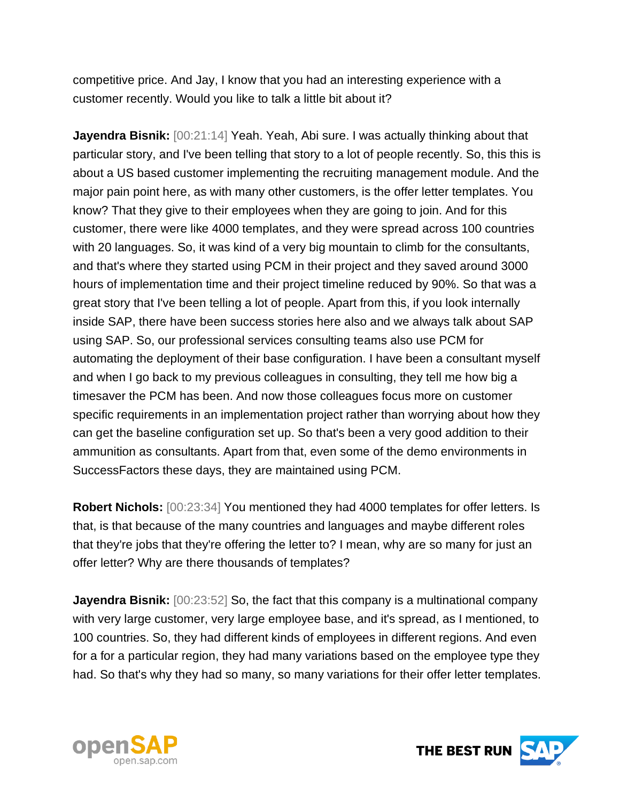competitive price. And Jay, I know that you had an interesting experience with a customer recently. Would you like to talk a little bit about it?

**Jayendra Bisnik:** [00:21:14] Yeah. Yeah, Abi sure. I was actually thinking about that particular story, and I've been telling that story to a lot of people recently. So, this this is about a US based customer implementing the recruiting management module. And the major pain point here, as with many other customers, is the offer letter templates. You know? That they give to their employees when they are going to join. And for this customer, there were like 4000 templates, and they were spread across 100 countries with 20 languages. So, it was kind of a very big mountain to climb for the consultants, and that's where they started using PCM in their project and they saved around 3000 hours of implementation time and their project timeline reduced by 90%. So that was a great story that I've been telling a lot of people. Apart from this, if you look internally inside SAP, there have been success stories here also and we always talk about SAP using SAP. So, our professional services consulting teams also use PCM for automating the deployment of their base configuration. I have been a consultant myself and when I go back to my previous colleagues in consulting, they tell me how big a timesaver the PCM has been. And now those colleagues focus more on customer specific requirements in an implementation project rather than worrying about how they can get the baseline configuration set up. So that's been a very good addition to their ammunition as consultants. Apart from that, even some of the demo environments in SuccessFactors these days, they are maintained using PCM.

**Robert Nichols:** [00:23:34] You mentioned they had 4000 templates for offer letters. Is that, is that because of the many countries and languages and maybe different roles that they're jobs that they're offering the letter to? I mean, why are so many for just an offer letter? Why are there thousands of templates?

**Jayendra Bisnik:** [00:23:52] So, the fact that this company is a multinational company with very large customer, very large employee base, and it's spread, as I mentioned, to 100 countries. So, they had different kinds of employees in different regions. And even for a for a particular region, they had many variations based on the employee type they had. So that's why they had so many, so many variations for their offer letter templates.



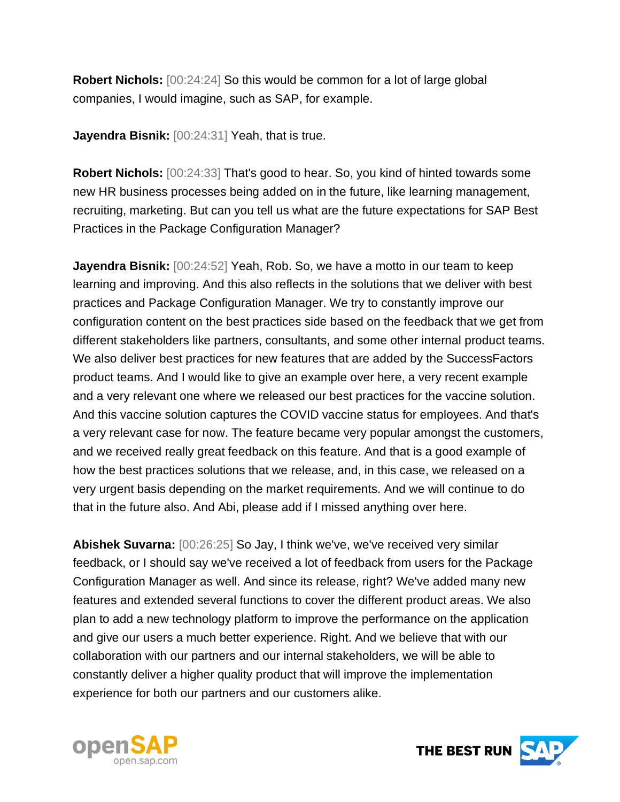**Robert Nichols:** [00:24:24] So this would be common for a lot of large global companies, I would imagine, such as SAP, for example.

**Jayendra Bisnik:** [00:24:31] Yeah, that is true.

**Robert Nichols:** [00:24:33] That's good to hear. So, you kind of hinted towards some new HR business processes being added on in the future, like learning management, recruiting, marketing. But can you tell us what are the future expectations for SAP Best Practices in the Package Configuration Manager?

**Jayendra Bisnik:** [00:24:52] Yeah, Rob. So, we have a motto in our team to keep learning and improving. And this also reflects in the solutions that we deliver with best practices and Package Configuration Manager. We try to constantly improve our configuration content on the best practices side based on the feedback that we get from different stakeholders like partners, consultants, and some other internal product teams. We also deliver best practices for new features that are added by the SuccessFactors product teams. And I would like to give an example over here, a very recent example and a very relevant one where we released our best practices for the vaccine solution. And this vaccine solution captures the COVID vaccine status for employees. And that's a very relevant case for now. The feature became very popular amongst the customers, and we received really great feedback on this feature. And that is a good example of how the best practices solutions that we release, and, in this case, we released on a very urgent basis depending on the market requirements. And we will continue to do that in the future also. And Abi, please add if I missed anything over here.

**Abishek Suvarna:** [00:26:25] So Jay, I think we've, we've received very similar feedback, or I should say we've received a lot of feedback from users for the Package Configuration Manager as well. And since its release, right? We've added many new features and extended several functions to cover the different product areas. We also plan to add a new technology platform to improve the performance on the application and give our users a much better experience. Right. And we believe that with our collaboration with our partners and our internal stakeholders, we will be able to constantly deliver a higher quality product that will improve the implementation experience for both our partners and our customers alike.



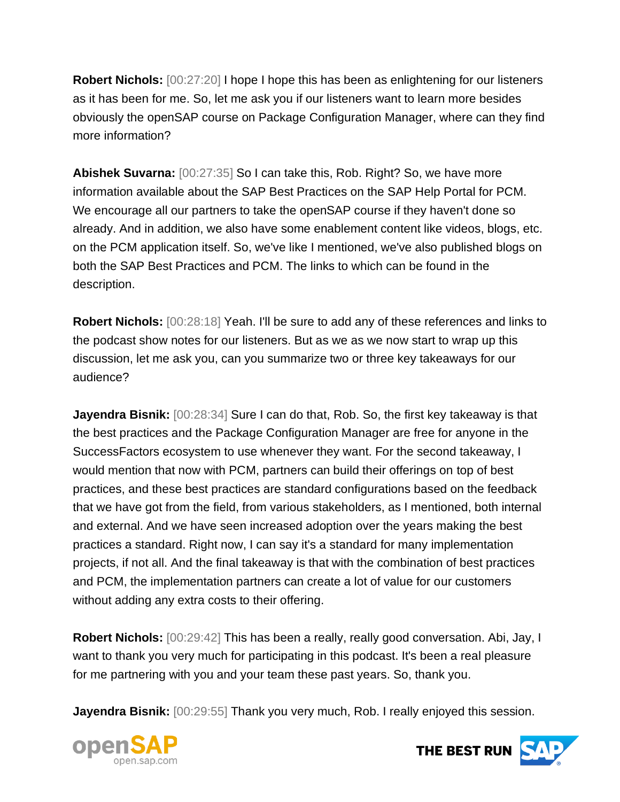**Robert Nichols:** [00:27:20] I hope I hope this has been as enlightening for our listeners as it has been for me. So, let me ask you if our listeners want to learn more besides obviously the openSAP course on Package Configuration Manager, where can they find more information?

**Abishek Suvarna:** [00:27:35] So I can take this, Rob. Right? So, we have more information available about the SAP Best Practices on the SAP Help Portal for PCM. We encourage all our partners to take the openSAP course if they haven't done so already. And in addition, we also have some enablement content like videos, blogs, etc. on the PCM application itself. So, we've like I mentioned, we've also published blogs on both the SAP Best Practices and PCM. The links to which can be found in the description.

**Robert Nichols:** [00:28:18] Yeah. I'll be sure to add any of these references and links to the podcast show notes for our listeners. But as we as we now start to wrap up this discussion, let me ask you, can you summarize two or three key takeaways for our audience?

**Jayendra Bisnik:** [00:28:34] Sure I can do that, Rob. So, the first key takeaway is that the best practices and the Package Configuration Manager are free for anyone in the SuccessFactors ecosystem to use whenever they want. For the second takeaway, I would mention that now with PCM, partners can build their offerings on top of best practices, and these best practices are standard configurations based on the feedback that we have got from the field, from various stakeholders, as I mentioned, both internal and external. And we have seen increased adoption over the years making the best practices a standard. Right now, I can say it's a standard for many implementation projects, if not all. And the final takeaway is that with the combination of best practices and PCM, the implementation partners can create a lot of value for our customers without adding any extra costs to their offering.

**Robert Nichols:** [00:29:42] This has been a really, really good conversation. Abi, Jay, I want to thank you very much for participating in this podcast. It's been a real pleasure for me partnering with you and your team these past years. So, thank you.

**Jayendra Bisnik:** [00:29:55] Thank you very much, Rob. I really enjoyed this session.